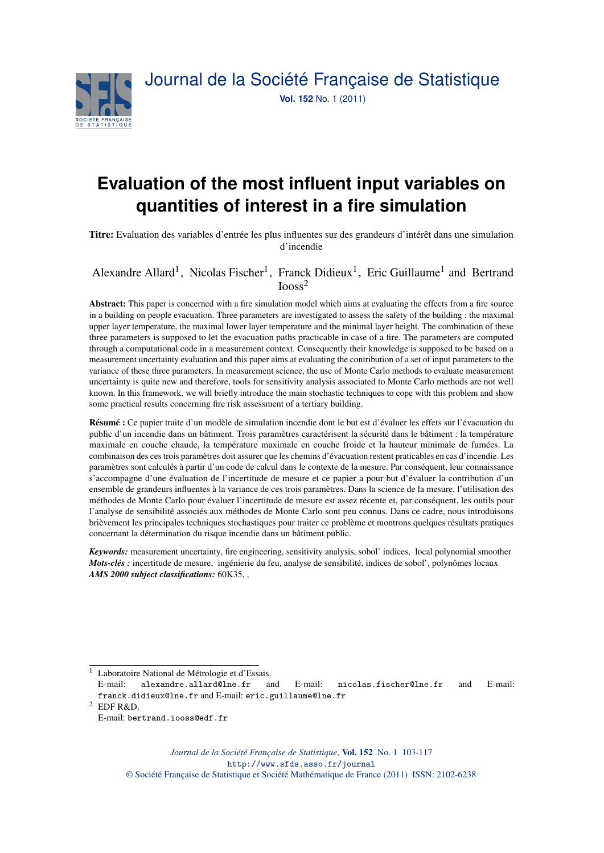

# **Evaluation of the most influent input variables on quantities of interest in a fire simulation**

Titre: Evaluation des variables d'entrée les plus influentes sur des grandeurs d'intérêt dans une simulation d'incendie

# Alexandre Allard<sup>1</sup>, Nicolas Fischer<sup>1</sup>, Franck Didieux<sup>1</sup>, Eric Guillaume<sup>1</sup> and Bertrand Iooss<sup>2</sup>

Abstract: This paper is concerned with a fire simulation model which aims at evaluating the effects from a fire source in a building on people evacuation. Three parameters are investigated to assess the safety of the building : the maximal upper layer temperature, the maximal lower layer temperature and the minimal layer height. The combination of these three parameters is supposed to let the evacuation paths practicable in case of a fire. The parameters are computed through a computational code in a measurement context. Consequently their knowledge is supposed to be based on a measurement uncertainty evaluation and this paper aims at evaluating the contribution of a set of input parameters to the variance of these three parameters. In measurement science, the use of Monte Carlo methods to evaluate measurement uncertainty is quite new and therefore, tools for sensitivity analysis associated to Monte Carlo methods are not well known. In this framework, we will briefly introduce the main stochastic techniques to cope with this problem and show some practical results concerning fire risk assessment of a tertiary building.

Résumé : Ce papier traite d'un modèle de simulation incendie dont le but est d'évaluer les effets sur l'évacuation du public d'un incendie dans un bâtiment. Trois paramètres caractérisent la sécurité dans le bâtiment : la température maximale en couche chaude, la température maximale en couche froide et la hauteur minimale de fumées. La combinaison des ces trois paramètres doit assurer que les chemins d'évacuation restent praticables en cas d'incendie. Les paramètres sont calculés à partir d'un code de calcul dans le contexte de la mesure. Par conséquent, leur connaissance s'accompagne d'une évaluation de l'incertitude de mesure et ce papier a pour but d'évaluer la contribution d'un ensemble de grandeurs influentes à la variance de ces trois paramètres. Dans la science de la mesure, l'utilisation des méthodes de Monte Carlo pour évaluer l'incertitude de mesure est assez récente et, par conséquent, les outils pour l'analyse de sensibilité associés aux méthodes de Monte Carlo sont peu connus. Dans ce cadre, nous introduisons brièvement les principales techniques stochastiques pour traiter ce problème et montrons quelques résultats pratiques concernant la détermination du risque incendie dans un bâtiment public.

*Keywords:* measurement uncertainty, fire engineering, sensitivity analysis, sobol' indices, local polynomial smoother *Mots-clés :* incertitude de mesure, ingénierie du feu, analyse de sensibilité, indices de sobol', polynômes locaux *AMS 2000 subject classifications:* 60K35, ,

<sup>1</sup> Laboratoire National de Métrologie et d'Essais.

E-mail: alexandre.allard@lne.fr and E-mail: nicolas.fischer@lne.fr and E-mail: franck.didieux@lne.fr and E-mail: eric.guillaume@lne.fr

<sup>2</sup> EDF R&D.

E-mail: bertrand.iooss@edf.fr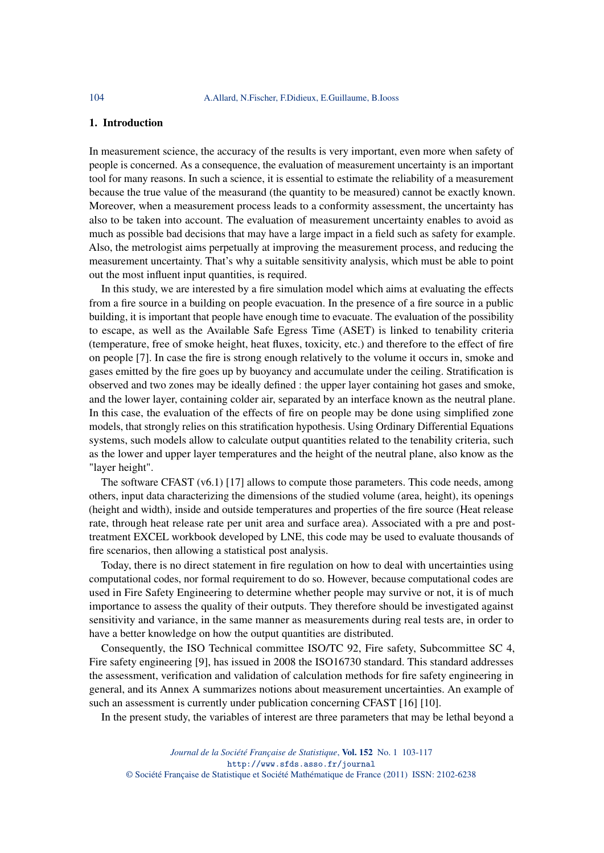### 1. Introduction

In measurement science, the accuracy of the results is very important, even more when safety of people is concerned. As a consequence, the evaluation of measurement uncertainty is an important tool for many reasons. In such a science, it is essential to estimate the reliability of a measurement because the true value of the measurand (the quantity to be measured) cannot be exactly known. Moreover, when a measurement process leads to a conformity assessment, the uncertainty has also to be taken into account. The evaluation of measurement uncertainty enables to avoid as much as possible bad decisions that may have a large impact in a field such as safety for example. Also, the metrologist aims perpetually at improving the measurement process, and reducing the measurement uncertainty. That's why a suitable sensitivity analysis, which must be able to point out the most influent input quantities, is required.

In this study, we are interested by a fire simulation model which aims at evaluating the effects from a fire source in a building on people evacuation. In the presence of a fire source in a public building, it is important that people have enough time to evacuate. The evaluation of the possibility to escape, as well as the Available Safe Egress Time (ASET) is linked to tenability criteria (temperature, free of smoke height, heat fluxes, toxicity, etc.) and therefore to the effect of fire on people [7]. In case the fire is strong enough relatively to the volume it occurs in, smoke and gases emitted by the fire goes up by buoyancy and accumulate under the ceiling. Stratification is observed and two zones may be ideally defined : the upper layer containing hot gases and smoke, and the lower layer, containing colder air, separated by an interface known as the neutral plane. In this case, the evaluation of the effects of fire on people may be done using simplified zone models, that strongly relies on this stratification hypothesis. Using Ordinary Differential Equations systems, such models allow to calculate output quantities related to the tenability criteria, such as the lower and upper layer temperatures and the height of the neutral plane, also know as the "layer height".

The software CFAST (v6.1) [17] allows to compute those parameters. This code needs, among others, input data characterizing the dimensions of the studied volume (area, height), its openings (height and width), inside and outside temperatures and properties of the fire source (Heat release rate, through heat release rate per unit area and surface area). Associated with a pre and posttreatment EXCEL workbook developed by LNE, this code may be used to evaluate thousands of fire scenarios, then allowing a statistical post analysis.

Today, there is no direct statement in fire regulation on how to deal with uncertainties using computational codes, nor formal requirement to do so. However, because computational codes are used in Fire Safety Engineering to determine whether people may survive or not, it is of much importance to assess the quality of their outputs. They therefore should be investigated against sensitivity and variance, in the same manner as measurements during real tests are, in order to have a better knowledge on how the output quantities are distributed.

Consequently, the ISO Technical committee ISO/TC 92, Fire safety, Subcommittee SC 4, Fire safety engineering [9], has issued in 2008 the ISO16730 standard. This standard addresses the assessment, verification and validation of calculation methods for fire safety engineering in general, and its Annex A summarizes notions about measurement uncertainties. An example of such an assessment is currently under publication concerning CFAST [16] [10].

In the present study, the variables of interest are three parameters that may be lethal beyond a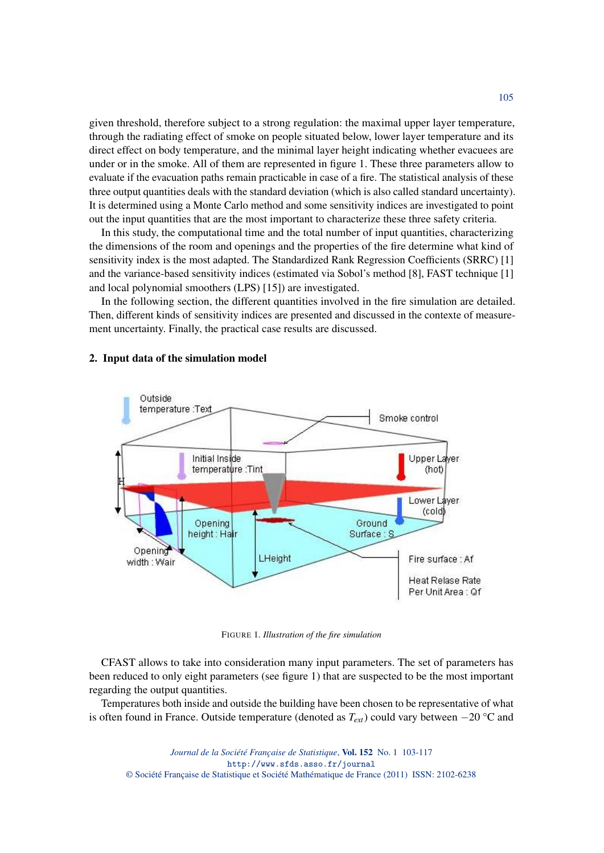given threshold, therefore subject to a strong regulation: the maximal upper layer temperature, through the radiating effect of smoke on people situated below, lower layer temperature and its direct effect on body temperature, and the minimal layer height indicating whether evacuees are under or in the smoke. All of them are represented in figure 1. These three parameters allow to evaluate if the evacuation paths remain practicable in case of a fire. The statistical analysis of these three output quantities deals with the standard deviation (which is also called standard uncertainty). It is determined using a Monte Carlo method and some sensitivity indices are investigated to point out the input quantities that are the most important to characterize these three safety criteria.

In this study, the computational time and the total number of input quantities, characterizing the dimensions of the room and openings and the properties of the fire determine what kind of sensitivity index is the most adapted. The Standardized Rank Regression Coefficients (SRRC) [1] and the variance-based sensitivity indices (estimated via Sobol's method [8], FAST technique [1] and local polynomial smoothers (LPS) [15]) are investigated.

In the following section, the different quantities involved in the fire simulation are detailed. Then, different kinds of sensitivity indices are presented and discussed in the contexte of measurement uncertainty. Finally, the practical case results are discussed.



#### 2. Input data of the simulation model

FIGURE 1*. Illustration of the fire simulation*

CFAST allows to take into consideration many input parameters. The set of parameters has been reduced to only eight parameters (see figure 1) that are suspected to be the most important regarding the output quantities.

Temperatures both inside and outside the building have been chosen to be representative of what is often found in France. Outside temperature (denoted as *Text*) could vary between −20 °C and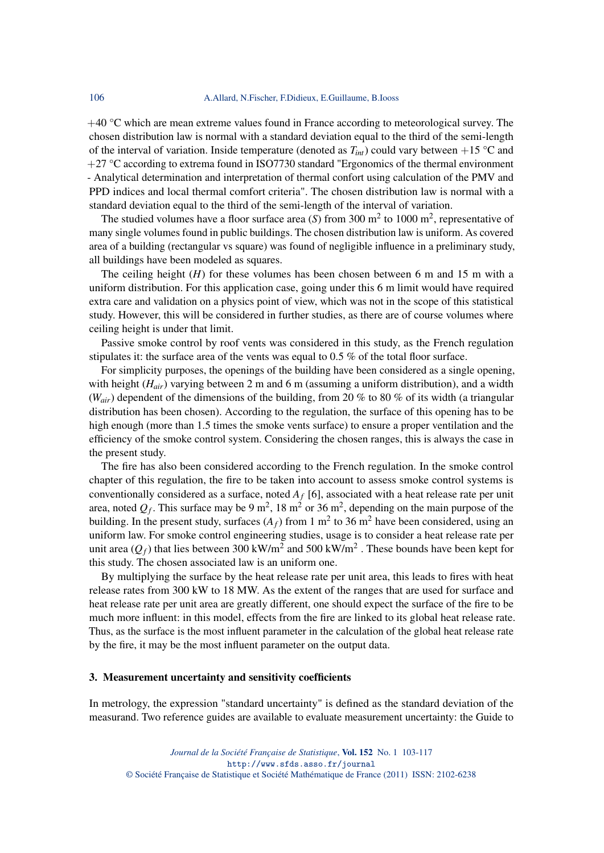$+40$  °C which are mean extreme values found in France according to meteorological survey. The chosen distribution law is normal with a standard deviation equal to the third of the semi-length of the interval of variation. Inside temperature (denoted as  $T_{int}$ ) could vary between +15 °C and  $+27$  °C according to extrema found in ISO7730 standard "Ergonomics of the thermal environment - Analytical determination and interpretation of thermal confort using calculation of the PMV and PPD indices and local thermal comfort criteria". The chosen distribution law is normal with a standard deviation equal to the third of the semi-length of the interval of variation.

The studied volumes have a floor surface area  $(S)$  from 300 m<sup>2</sup> to 1000 m<sup>2</sup>, representative of many single volumes found in public buildings. The chosen distribution law is uniform. As covered area of a building (rectangular vs square) was found of negligible influence in a preliminary study, all buildings have been modeled as squares.

The ceiling height (*H*) for these volumes has been chosen between 6 m and 15 m with a uniform distribution. For this application case, going under this 6 m limit would have required extra care and validation on a physics point of view, which was not in the scope of this statistical study. However, this will be considered in further studies, as there are of course volumes where ceiling height is under that limit.

Passive smoke control by roof vents was considered in this study, as the French regulation stipulates it: the surface area of the vents was equal to 0.5 % of the total floor surface.

For simplicity purposes, the openings of the building have been considered as a single opening, with height (*Hair*) varying between 2 m and 6 m (assuming a uniform distribution), and a width (*Wair*) dependent of the dimensions of the building, from 20 % to 80 % of its width (a triangular distribution has been chosen). According to the regulation, the surface of this opening has to be high enough (more than 1.5 times the smoke vents surface) to ensure a proper ventilation and the efficiency of the smoke control system. Considering the chosen ranges, this is always the case in the present study.

The fire has also been considered according to the French regulation. In the smoke control chapter of this regulation, the fire to be taken into account to assess smoke control systems is conventionally considered as a surface, noted *A<sup>f</sup>* [6], associated with a heat release rate per unit area, noted  $Q_f$ . This surface may be 9 m<sup>2</sup>, 18 m<sup>2</sup> or 36 m<sup>2</sup>, depending on the main purpose of the building. In the present study, surfaces  $(A_f)$  from 1 m<sup>2</sup> to 36 m<sup>2</sup> have been considered, using an uniform law. For smoke control engineering studies, usage is to consider a heat release rate per unit area  $(Q_f)$  that lies between 300 kW/m<sup>2</sup> and 500 kW/m<sup>2</sup> . These bounds have been kept for this study. The chosen associated law is an uniform one.

By multiplying the surface by the heat release rate per unit area, this leads to fires with heat release rates from 300 kW to 18 MW. As the extent of the ranges that are used for surface and heat release rate per unit area are greatly different, one should expect the surface of the fire to be much more influent: in this model, effects from the fire are linked to its global heat release rate. Thus, as the surface is the most influent parameter in the calculation of the global heat release rate by the fire, it may be the most influent parameter on the output data.

#### 3. Measurement uncertainty and sensitivity coefficients

In metrology, the expression "standard uncertainty" is defined as the standard deviation of the measurand. Two reference guides are available to evaluate measurement uncertainty: the Guide to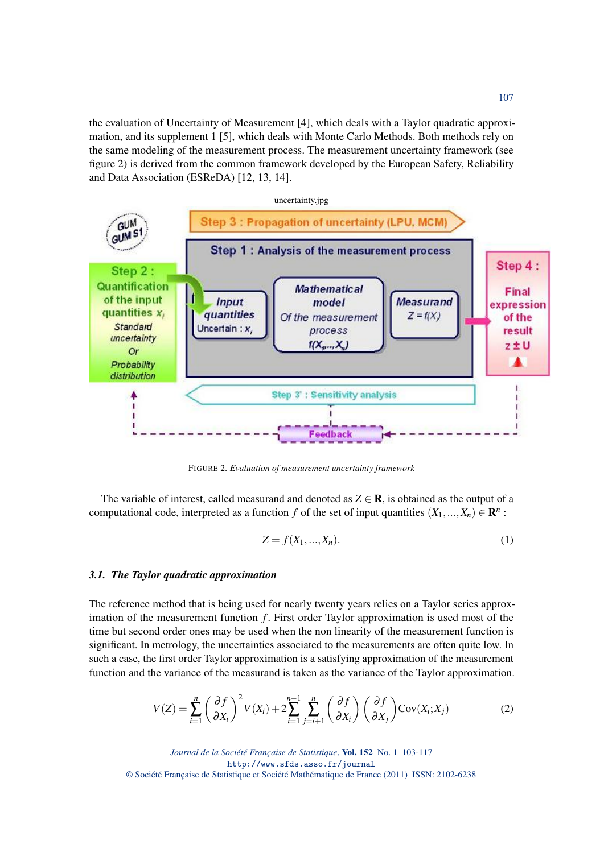the evaluation of Uncertainty of Measurement [4], which deals with a Taylor quadratic approximation, and its supplement 1 [5], which deals with Monte Carlo Methods. Both methods rely on the same modeling of the measurement process. The measurement uncertainty framework (see figure 2) is derived from the common framework developed by the European Safety, Reliability and Data Association (ESReDA) [12, 13, 14].



FIGURE 2*. Evaluation of measurement uncertainty framework*

The variable of interest, called measurand and denoted as  $Z \in \mathbb{R}$ , is obtained as the output of a computational code, interpreted as a function *f* of the set of input quantities  $(X_1, ..., X_n) \in \mathbb{R}^n$ :

$$
Z = f(X_1, \ldots, X_n). \tag{1}
$$

#### *3.1. The Taylor quadratic approximation*

The reference method that is being used for nearly twenty years relies on a Taylor series approximation of the measurement function *f*. First order Taylor approximation is used most of the time but second order ones may be used when the non linearity of the measurement function is significant. In metrology, the uncertainties associated to the measurements are often quite low. In such a case, the first order Taylor approximation is a satisfying approximation of the measurement function and the variance of the measurand is taken as the variance of the Taylor approximation.

$$
V(Z) = \sum_{i=1}^{n} \left(\frac{\partial f}{\partial X_i}\right)^2 V(X_i) + 2 \sum_{i=1}^{n-1} \sum_{j=i+1}^{n} \left(\frac{\partial f}{\partial X_i}\right) \left(\frac{\partial f}{\partial X_j}\right) \text{Cov}(X_i; X_j)
$$
(2)

*Journal de la Société Française de Statistique*, Vol. 152 No. 1 103-117 http://www.sfds.asso.fr/journal © Société Française de Statistique et Société Mathématique de France (2011) ISSN: 2102-6238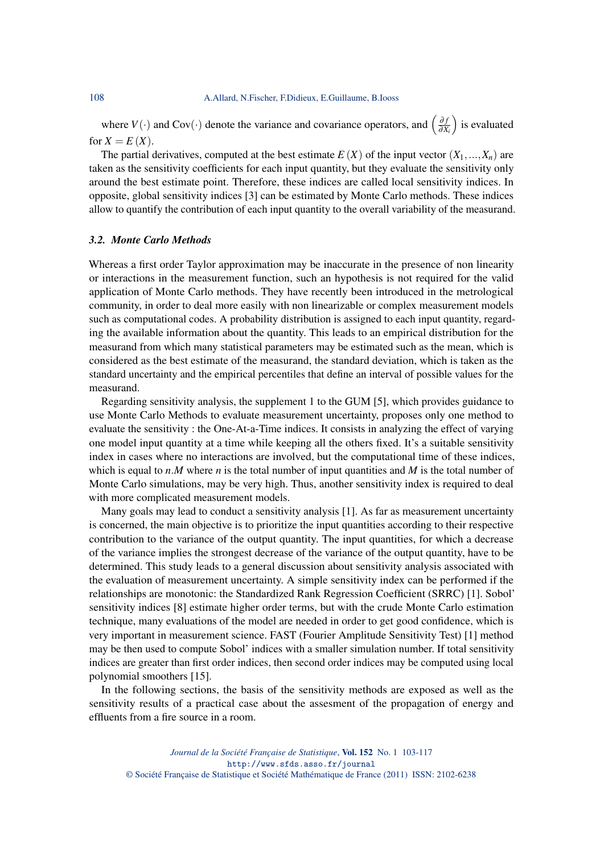where  $V(\cdot)$  and Cov $(\cdot)$  denote the variance and covariance operators, and  $\left(\frac{\partial f}{\partial x}\right)$ ∂*X<sup>i</sup>* ) is evaluated for  $X = E(X)$ .

The partial derivatives, computed at the best estimate  $E(X)$  of the input vector  $(X_1, ..., X_n)$  are taken as the sensitivity coefficients for each input quantity, but they evaluate the sensitivity only around the best estimate point. Therefore, these indices are called local sensitivity indices. In opposite, global sensitivity indices [3] can be estimated by Monte Carlo methods. These indices allow to quantify the contribution of each input quantity to the overall variability of the measurand.

## *3.2. Monte Carlo Methods*

Whereas a first order Taylor approximation may be inaccurate in the presence of non linearity or interactions in the measurement function, such an hypothesis is not required for the valid application of Monte Carlo methods. They have recently been introduced in the metrological community, in order to deal more easily with non linearizable or complex measurement models such as computational codes. A probability distribution is assigned to each input quantity, regarding the available information about the quantity. This leads to an empirical distribution for the measurand from which many statistical parameters may be estimated such as the mean, which is considered as the best estimate of the measurand, the standard deviation, which is taken as the standard uncertainty and the empirical percentiles that define an interval of possible values for the measurand.

Regarding sensitivity analysis, the supplement 1 to the GUM [5], which provides guidance to use Monte Carlo Methods to evaluate measurement uncertainty, proposes only one method to evaluate the sensitivity : the One-At-a-Time indices. It consists in analyzing the effect of varying one model input quantity at a time while keeping all the others fixed. It's a suitable sensitivity index in cases where no interactions are involved, but the computational time of these indices, which is equal to  $n.M$  where  $n$  is the total number of input quantities and  $M$  is the total number of Monte Carlo simulations, may be very high. Thus, another sensitivity index is required to deal with more complicated measurement models.

Many goals may lead to conduct a sensitivity analysis [1]. As far as measurement uncertainty is concerned, the main objective is to prioritize the input quantities according to their respective contribution to the variance of the output quantity. The input quantities, for which a decrease of the variance implies the strongest decrease of the variance of the output quantity, have to be determined. This study leads to a general discussion about sensitivity analysis associated with the evaluation of measurement uncertainty. A simple sensitivity index can be performed if the relationships are monotonic: the Standardized Rank Regression Coefficient (SRRC) [1]. Sobol' sensitivity indices [8] estimate higher order terms, but with the crude Monte Carlo estimation technique, many evaluations of the model are needed in order to get good confidence, which is very important in measurement science. FAST (Fourier Amplitude Sensitivity Test) [1] method may be then used to compute Sobol' indices with a smaller simulation number. If total sensitivity indices are greater than first order indices, then second order indices may be computed using local polynomial smoothers [15].

In the following sections, the basis of the sensitivity methods are exposed as well as the sensitivity results of a practical case about the assesment of the propagation of energy and effluents from a fire source in a room.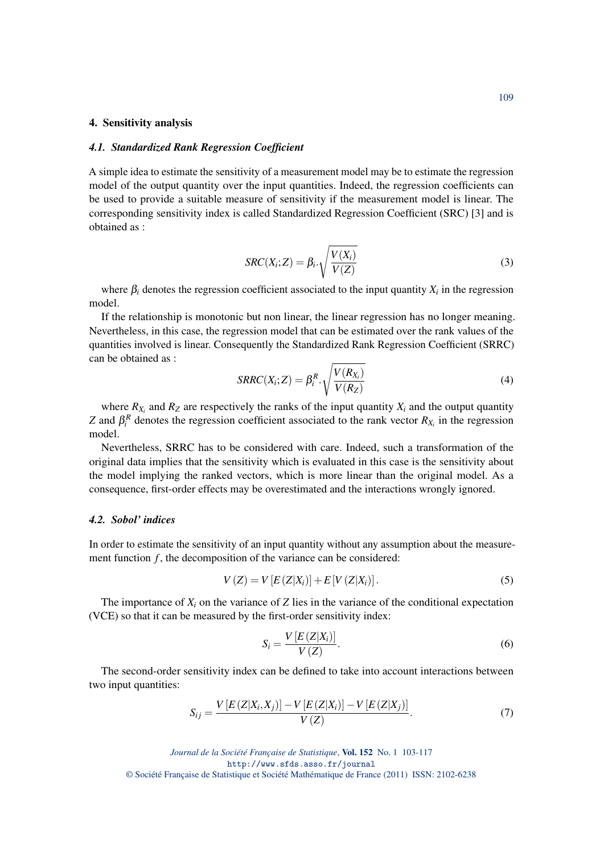#### 4. Sensitivity analysis

#### *4.1. Standardized Rank Regression Coefficient*

A simple idea to estimate the sensitivity of a measurement model may be to estimate the regression model of the output quantity over the input quantities. Indeed, the regression coefficients can be used to provide a suitable measure of sensitivity if the measurement model is linear. The corresponding sensitivity index is called Standardized Regression Coefficient (SRC) [3] and is obtained as :

$$
SRC(X_i;Z) = \beta_i \cdot \sqrt{\frac{V(X_i)}{V(Z)}}
$$
\n(3)

where  $\beta_i$  denotes the regression coefficient associated to the input quantity  $X_i$  in the regression model.

If the relationship is monotonic but non linear, the linear regression has no longer meaning. Nevertheless, in this case, the regression model that can be estimated over the rank values of the quantities involved is linear. Consequently the Standardized Rank Regression Coefficient (SRRC) can be obtained as :

$$
SRRC(X_i;Z) = \beta_i^R \cdot \sqrt{\frac{V(R_{X_i})}{V(R_Z)}}
$$
\n(4)

where  $R_{X_i}$  and  $R_Z$  are respectively the ranks of the input quantity  $X_i$  and the output quantity *Z* and  $\beta_i^R$  denotes the regression coefficient associated to the rank vector  $R_{X_i}$  in the regression model.

Nevertheless, SRRC has to be considered with care. Indeed, such a transformation of the original data implies that the sensitivity which is evaluated in this case is the sensitivity about the model implying the ranked vectors, which is more linear than the original model. As a consequence, first-order effects may be overestimated and the interactions wrongly ignored.

#### *4.2. Sobol' indices*

In order to estimate the sensitivity of an input quantity without any assumption about the measurement function *f*, the decomposition of the variance can be considered:

$$
V(Z) = V[E(Z|X_i)] + E[V(Z|X_i)].
$$
\n(5)

The importance of  $X_i$  on the variance of *Z* lies in the variance of the conditional expectation (VCE) so that it can be measured by the first-order sensitivity index:

$$
S_i = \frac{V\left[E\left(Z|X_i\right)\right]}{V\left(Z\right)}.\tag{6}
$$

The second-order sensitivity index can be defined to take into account interactions between two input quantities:

$$
S_{ij} = \frac{V\left[E\left(Z|X_i, X_j\right)\right] - V\left[E\left(Z|X_i\right)\right] - V\left[E\left(Z|X_j\right)\right]}{V\left(Z\right)}.\tag{7}
$$

*Journal de la Société Française de Statistique*, Vol. 152 No. 1 103-117 http://www.sfds.asso.fr/journal © Société Française de Statistique et Société Mathématique de France (2011) ISSN: 2102-6238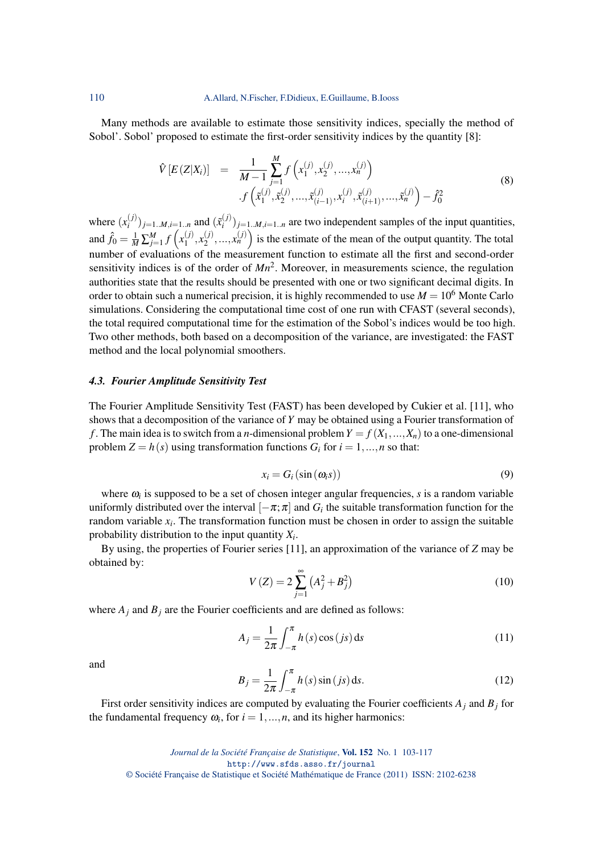Many methods are available to estimate those sensitivity indices, specially the method of Sobol'. Sobol' proposed to estimate the first-order sensitivity indices by the quantity [8]:

$$
\hat{V}[E(Z|X_i)] = \frac{1}{M-1} \sum_{j=1}^{M} f\left(x_1^{(j)}, x_2^{(j)}, ..., x_n^{(j)}\right) \cdot f\left(\tilde{x}_1^{(j)}, \tilde{x}_2^{(j)}, ..., \tilde{x}_{(i-1)}^{(j)}, x_i^{(j)}, \tilde{x}_{(i+1)}^{(j)}, ..., \tilde{x}_n^{(j)}\right) - \hat{f}_0^2
$$
\n(8)

where  $(x_i^{(j)}$  $\binom{(j)}{i}$  *j*=1..*M*,*i*=1..*n* and  $(\tilde{x}_i^{(j)})$  $\binom{n}{i}$  *j*=1.*M*,*i*=1.*n* are two independent samples of the input quantities, and  $\hat{f}_0 = \frac{1}{M} \sum_{j=1}^{M} f(x_1^{(j)})$  $x_1^{(j)}, x_2^{(j)}$  $\binom{j}{2}, \ldots, x_n^{(j)}$  is the estimate of the mean of the output quantity. The total number of evaluations of the measurement function to estimate all the first and second-order sensitivity indices is of the order of  $Mn^2$ . Moreover, in measurements science, the regulation authorities state that the results should be presented with one or two significant decimal digits. In order to obtain such a numerical precision, it is highly recommended to use  $M = 10^6$  Monte Carlo simulations. Considering the computational time cost of one run with CFAST (several seconds), the total required computational time for the estimation of the Sobol's indices would be too high. Two other methods, both based on a decomposition of the variance, are investigated: the FAST method and the local polynomial smoothers.

## *4.3. Fourier Amplitude Sensitivity Test*

The Fourier Amplitude Sensitivity Test (FAST) has been developed by Cukier et al. [11], who shows that a decomposition of the variance of *Y* may be obtained using a Fourier transformation of *f*. The main idea is to switch from a *n*-dimensional problem  $Y = f(X_1,...,X_n)$  to a one-dimensional problem  $Z = h(s)$  using transformation functions  $G_i$  for  $i = 1, ..., n$  so that:

$$
x_i = G_i(\sin(\omega_i s))
$$
\n(9)

where  $\omega_i$  is supposed to be a set of chosen integer angular frequencies,  $s$  is a random variable uniformly distributed over the interval  $[-\pi;\pi]$  and  $G_i$  the suitable transformation function for the random variable *x<sup>i</sup>* . The transformation function must be chosen in order to assign the suitable probability distribution to the input quantity *X<sup>i</sup>* .

By using, the properties of Fourier series [11], an approximation of the variance of *Z* may be obtained by:

$$
V(Z) = 2\sum_{j=1}^{\infty} (A_j^2 + B_j^2)
$$
 (10)

where  $A_i$  and  $B_j$  are the Fourier coefficients and are defined as follows:

$$
A_j = \frac{1}{2\pi} \int_{-\pi}^{\pi} h(s) \cos(js) \, ds \tag{11}
$$

and

$$
B_j = \frac{1}{2\pi} \int_{-\pi}^{\pi} h(s) \sin (js) \, ds. \tag{12}
$$

First order sensitivity indices are computed by evaluating the Fourier coefficients *A<sup>j</sup>* and *B<sup>j</sup>* for the fundamental frequency  $\omega_i$ , for  $i = 1, ..., n$ , and its higher harmonics: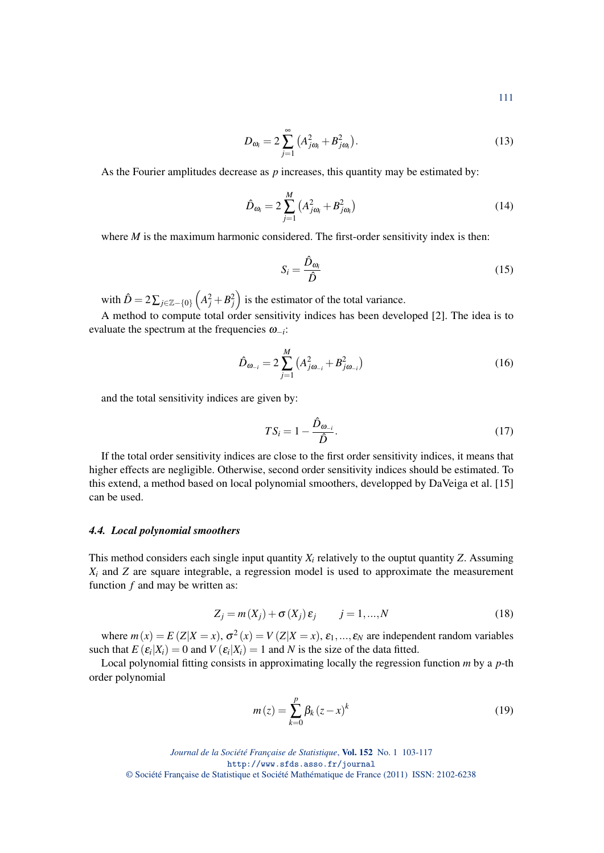$$
111\\
$$

$$
D_{\omega_i} = 2 \sum_{j=1}^{\infty} \left( A_{j\omega_i}^2 + B_{j\omega_i}^2 \right). \tag{13}
$$

As the Fourier amplitudes decrease as *p* increases, this quantity may be estimated by:

$$
\hat{D}_{\omega_i} = 2 \sum_{j=1}^{M} \left( A_{j\omega_i}^2 + B_{j\omega_i}^2 \right)
$$
\n(14)

where *M* is the maximum harmonic considered. The first-order sensitivity index is then:

$$
S_i = \frac{\hat{D}_{\omega_i}}{\hat{D}}\tag{15}
$$

with  $\hat{D} = 2\sum_{j\in\mathbb{Z}-\{0\}} \left(A_j^2 + B_j^2\right)$  is the estimator of the total variance.

A method to compute total order sensitivity indices has been developed [2]. The idea is to evaluate the spectrum at the frequencies ω−*<sup>i</sup>* :

$$
\hat{D}_{\omega_{-i}} = 2\sum_{j=1}^{M} (A_{j\omega_{-i}}^2 + B_{j\omega_{-i}}^2)
$$
\n(16)

and the total sensitivity indices are given by:

$$
TS_i = 1 - \frac{\hat{D}_{\omega_{-i}}}{\hat{D}}.\tag{17}
$$

If the total order sensitivity indices are close to the first order sensitivity indices, it means that higher effects are negligible. Otherwise, second order sensitivity indices should be estimated. To this extend, a method based on local polynomial smoothers, developped by DaVeiga et al. [15] can be used.

#### *4.4. Local polynomial smoothers*

This method considers each single input quantity  $X_i$  relatively to the ouptut quantity  $Z$ . Assuming *X<sup>i</sup>* and *Z* are square integrable, a regression model is used to approximate the measurement function *f* and may be written as:

$$
Z_j = m(X_j) + \sigma(X_j) \varepsilon_j \qquad j = 1, ..., N
$$
\n(18)

where  $m(x) = E(Z|X = x)$ ,  $\sigma^2(x) = V(Z|X = x)$ ,  $\varepsilon_1, ..., \varepsilon_N$  are independent random variables such that  $E(\varepsilon_i|X_i) = 0$  and  $V(\varepsilon_i|X_i) = 1$  and  $N$  is the size of the data fitted.

Local polynomial fitting consists in approximating locally the regression function *m* by a *p*-th order polynomial

$$
m(z) = \sum_{k=0}^{p} \beta_k (z - x)^k
$$
 (19)

*Journal de la Société Française de Statistique*, Vol. 152 No. 1 103-117 http://www.sfds.asso.fr/journal © Société Française de Statistique et Société Mathématique de France (2011) ISSN: 2102-6238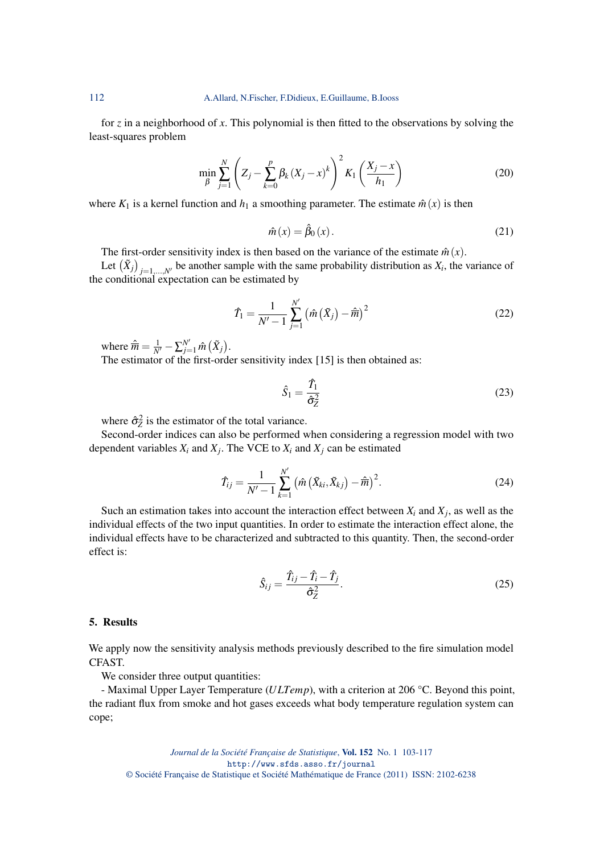for *z* in a neighborhood of *x*. This polynomial is then fitted to the observations by solving the least-squares problem

$$
\min_{\beta} \sum_{j=1}^{N} \left( Z_j - \sum_{k=0}^{p} \beta_k (X_j - x)^k \right)^2 K_1 \left( \frac{X_j - x}{h_1} \right)
$$
 (20)

where  $K_1$  is a kernel function and  $h_1$  a smoothing parameter. The estimate  $\hat{m}(x)$  is then

$$
\hat{m}(x) = \hat{\beta}_0(x). \tag{21}
$$

The first-order sensitivity index is then based on the variance of the estimate  $\hat{m}(x)$ .

Let  $(\tilde{X}_j)_{j=1,\dots,N'}$  be another sample with the same probability distribution as  $X_i$ , the variance of the conditional expectation can be estimated by

$$
\hat{T}_1 = \frac{1}{N'-1} \sum_{j=1}^{N'} \left( \hat{m} \left( \tilde{X}_j \right) - \hat{\overline{m}} \right)^2 \tag{22}
$$

where  $\hat{\overline{m}} = \frac{1}{N'} - \sum_{j=1}^{N'} \hat{m} (\tilde{X}_j).$ 

The estimator of the first-order sensitivity index [15] is then obtained as:

$$
\hat{S}_1 = \frac{\hat{T}_1}{\hat{\sigma}_Z^2} \tag{23}
$$

where  $\hat{\sigma}_Z^2$  is the estimator of the total variance.

Second-order indices can also be performed when considering a regression model with two dependent variables  $X_i$  and  $X_j$ . The VCE to  $X_i$  and  $X_j$  can be estimated

$$
\hat{T}_{ij} = \frac{1}{N'-1} \sum_{k=1}^{N'} \left( \hat{m} \left( \tilde{X}_{ki}, \tilde{X}_{kj} \right) - \hat{m} \right)^2.
$$
 (24)

Such an estimation takes into account the interaction effect between  $X_i$  and  $X_j$ , as well as the individual effects of the two input quantities. In order to estimate the interaction effect alone, the individual effects have to be characterized and subtracted to this quantity. Then, the second-order effect is:

$$
\hat{S}_{ij} = \frac{\hat{T}_{ij} - \hat{T}_i - \hat{T}_j}{\hat{\sigma}_Z^2}.
$$
\n(25)

#### 5. Results

We apply now the sensitivity analysis methods previously described to the fire simulation model CFAST.

We consider three output quantities:

- Maximal Upper Layer Temperature (*ULTemp*), with a criterion at 206 °C. Beyond this point, the radiant flux from smoke and hot gases exceeds what body temperature regulation system can cope;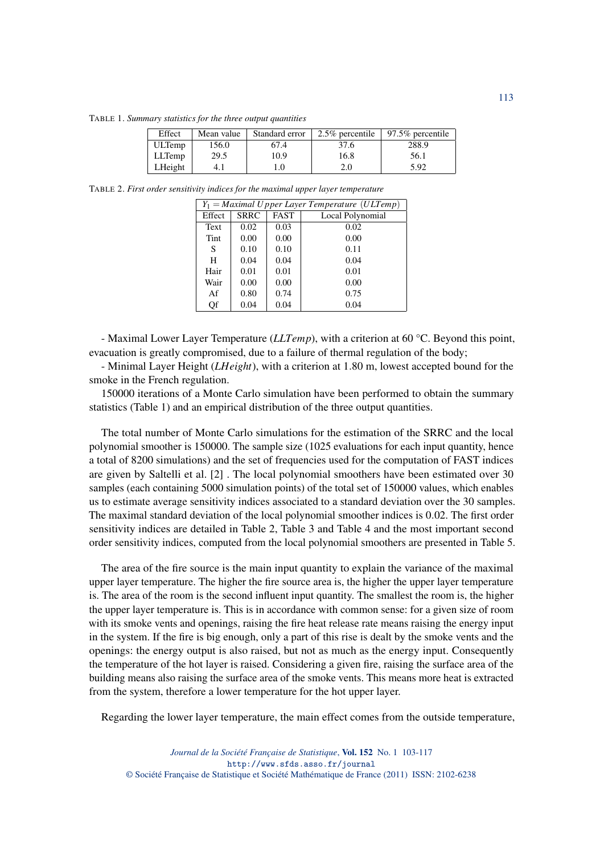TABLE 1. *Summary statistics for the three output quantities*

| Effect        | Mean value | Standard error | $2.5\%$ percentile | 97.5% percentile |
|---------------|------------|----------------|--------------------|------------------|
| <b>ULTemp</b> | 156.0      | 67.4           | 37.6               | 288.9            |
| <b>LLTemp</b> | 29.5       | 10.9           | 16.8               | 56.1             |
| LHeight       |            | .0             | 2.0                | 5.92             |

TABLE 2. *First order sensitivity indices for the maximal upper layer temperature*

| $Y_1 =$ Maximal U pper Layer Temperature (ULTemp) |             |             |                  |
|---------------------------------------------------|-------------|-------------|------------------|
| Effect                                            | <b>SRRC</b> | <b>FAST</b> | Local Polynomial |
| <b>Text</b>                                       | 0.02        | 0.03        | 0.02             |
| Tint                                              | 0.00        | 0.00        | 0.00             |
| S                                                 | 0.10        | 0.10        | 0.11             |
| H                                                 | 0.04        | 0.04        | 0.04             |
| Hair                                              | 0.01        | 0.01        | 0.01             |
| Wair                                              | 0.00        | 0.00        | 0.00             |
| Af                                                | 0.80        | 0.74        | 0.75             |
| Qf                                                | 0.04        | 0.04        | 0.04             |

- Maximal Lower Layer Temperature (*LLTemp*), with a criterion at 60 °C. Beyond this point, evacuation is greatly compromised, due to a failure of thermal regulation of the body;

- Minimal Layer Height (*LHeight*), with a criterion at 1.80 m, lowest accepted bound for the smoke in the French regulation.

150000 iterations of a Monte Carlo simulation have been performed to obtain the summary statistics (Table 1) and an empirical distribution of the three output quantities.

The total number of Monte Carlo simulations for the estimation of the SRRC and the local polynomial smoother is 150000. The sample size (1025 evaluations for each input quantity, hence a total of 8200 simulations) and the set of frequencies used for the computation of FAST indices are given by Saltelli et al. [2] . The local polynomial smoothers have been estimated over 30 samples (each containing 5000 simulation points) of the total set of 150000 values, which enables us to estimate average sensitivity indices associated to a standard deviation over the 30 samples. The maximal standard deviation of the local polynomial smoother indices is 0.02. The first order sensitivity indices are detailed in Table 2, Table 3 and Table 4 and the most important second order sensitivity indices, computed from the local polynomial smoothers are presented in Table 5.

The area of the fire source is the main input quantity to explain the variance of the maximal upper layer temperature. The higher the fire source area is, the higher the upper layer temperature is. The area of the room is the second influent input quantity. The smallest the room is, the higher the upper layer temperature is. This is in accordance with common sense: for a given size of room with its smoke vents and openings, raising the fire heat release rate means raising the energy input in the system. If the fire is big enough, only a part of this rise is dealt by the smoke vents and the openings: the energy output is also raised, but not as much as the energy input. Consequently the temperature of the hot layer is raised. Considering a given fire, raising the surface area of the building means also raising the surface area of the smoke vents. This means more heat is extracted from the system, therefore a lower temperature for the hot upper layer.

Regarding the lower layer temperature, the main effect comes from the outside temperature,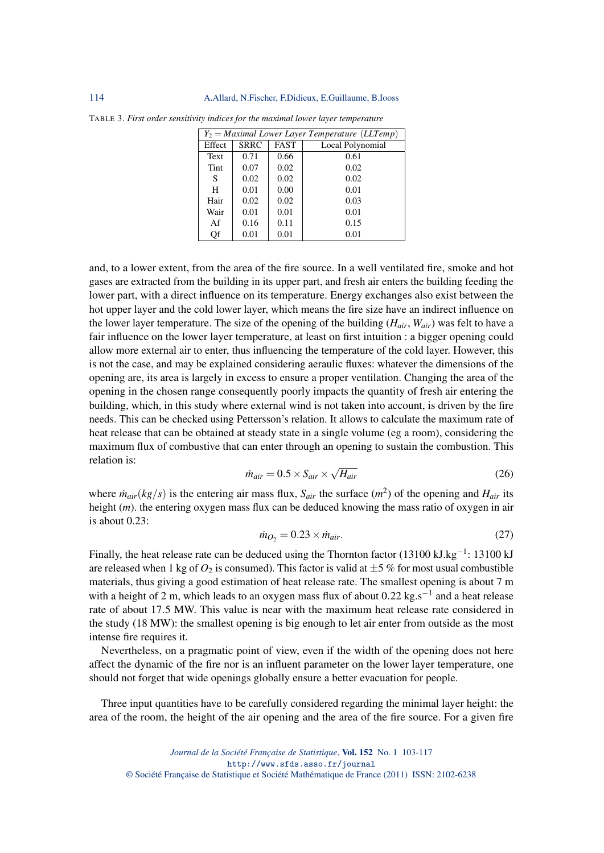| $Y_2 =$ Maximal Lower Layer Temperature (LLTemp) |      |             |                  |
|--------------------------------------------------|------|-------------|------------------|
| <b>SRRC</b><br>Effect                            |      | <b>FAST</b> | Local Polynomial |
| <b>Text</b>                                      | 0.71 | 0.66        | 0.61             |
| Tint                                             | 0.07 | 0.02        | 0.02             |
| S                                                | 0.02 | 0.02        | 0.02             |
| H                                                | 0.01 | 0.00        | 0.01             |
| Hair                                             | 0.02 | 0.02        | 0.03             |
| Wair                                             | 0.01 | 0.01        | 0.01             |
| Af                                               | 0.16 | 0.11        | 0.15             |
| Qf                                               | 0.01 | 0.01        | 0.01             |

TABLE 3. *First order sensitivity indices for the maximal lower layer temperature*

and, to a lower extent, from the area of the fire source. In a well ventilated fire, smoke and hot gases are extracted from the building in its upper part, and fresh air enters the building feeding the lower part, with a direct influence on its temperature. Energy exchanges also exist between the hot upper layer and the cold lower layer, which means the fire size have an indirect influence on the lower layer temperature. The size of the opening of the building (*Hair*, *Wair*) was felt to have a fair influence on the lower layer temperature, at least on first intuition : a bigger opening could allow more external air to enter, thus influencing the temperature of the cold layer. However, this is not the case, and may be explained considering aeraulic fluxes: whatever the dimensions of the opening are, its area is largely in excess to ensure a proper ventilation. Changing the area of the opening in the chosen range consequently poorly impacts the quantity of fresh air entering the building, which, in this study where external wind is not taken into account, is driven by the fire needs. This can be checked using Pettersson's relation. It allows to calculate the maximum rate of heat release that can be obtained at steady state in a single volume (eg a room), considering the maximum flux of combustive that can enter through an opening to sustain the combustion. This relation is: √

$$
\dot{m}_{air} = 0.5 \times S_{air} \times \sqrt{H_{air}} \tag{26}
$$

where  $\dot{m}_{air}(kg/s)$  is the entering air mass flux,  $S_{air}$  the surface  $(m^2)$  of the opening and  $H_{air}$  its height (*m*). the entering oxygen mass flux can be deduced knowing the mass ratio of oxygen in air is about 0.23:

$$
\dot{m}_{O_2} = 0.23 \times \dot{m}_{air}.\tag{27}
$$

Finally, the heat release rate can be deduced using the Thornton factor (13100 kJ.kg<sup>-1</sup>: 13100 kJ are released when 1 kg of  $O_2$  is consumed). This factor is valid at  $\pm 5$  % for most usual combustible materials, thus giving a good estimation of heat release rate. The smallest opening is about 7 m with a height of 2 m, which leads to an oxygen mass flux of about  $0.22 \text{ kg.s}^{-1}$  and a heat release rate of about 17.5 MW. This value is near with the maximum heat release rate considered in the study (18 MW): the smallest opening is big enough to let air enter from outside as the most intense fire requires it.

Nevertheless, on a pragmatic point of view, even if the width of the opening does not here affect the dynamic of the fire nor is an influent parameter on the lower layer temperature, one should not forget that wide openings globally ensure a better evacuation for people.

Three input quantities have to be carefully considered regarding the minimal layer height: the area of the room, the height of the air opening and the area of the fire source. For a given fire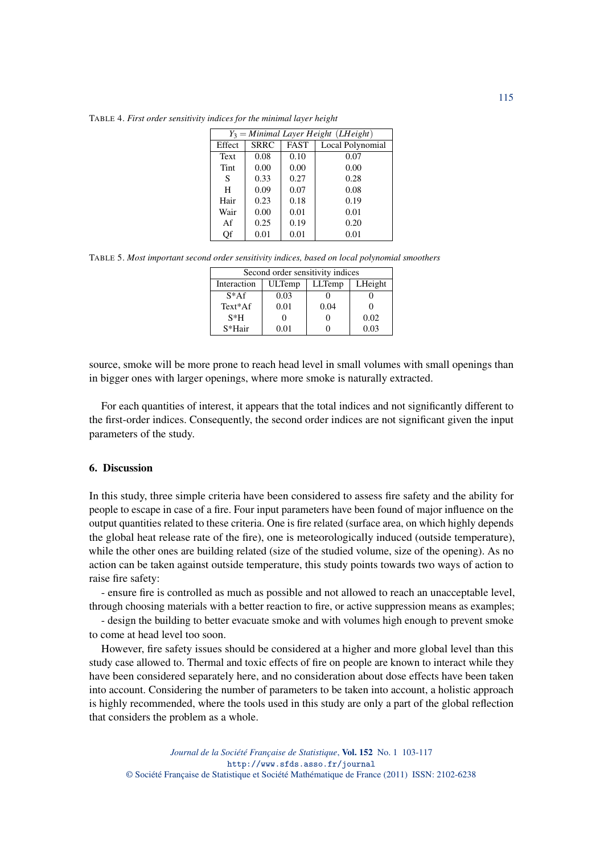TABLE 4. *First order sensitivity indices for the minimal layer height*

| $Y_3 =$ Minimal Layer Height (LHeight) |             |             |                  |  |
|----------------------------------------|-------------|-------------|------------------|--|
| Effect                                 | <b>SRRC</b> | <b>FAST</b> | Local Polynomial |  |
| Text                                   | 0.08        | 0.10        | 0.07             |  |
| Tint                                   | 0.00        | 0.00        | 0.00             |  |
| S                                      | 0.33        | 0.27        | 0.28             |  |
| H                                      | 0.09        | 0.07        | 0.08             |  |
| Hair                                   | 0.23        | 0.18        | 0.19             |  |
| Wair                                   | 0.00        | 0.01        | 0.01             |  |
| Af                                     | 0.25        | 0.19        | 0.20             |  |
| Of                                     | 0.01        | 0.01        | 0.01             |  |

TABLE 5. *Most important second order sensitivity indices, based on local polynomial smoothers*

| Second order sensitivity indices                  |            |      |      |  |
|---------------------------------------------------|------------|------|------|--|
| LLTemp<br>LHeight<br><b>ULTemp</b><br>Interaction |            |      |      |  |
| $S^*AF$                                           | 0.03       |      |      |  |
| Text*Af                                           | 0.01       | 0.04 |      |  |
| $S*H$                                             |            |      | 0.02 |  |
| $S*Hair$                                          | $\rm 0.01$ |      | 0.03 |  |

source, smoke will be more prone to reach head level in small volumes with small openings than in bigger ones with larger openings, where more smoke is naturally extracted.

For each quantities of interest, it appears that the total indices and not significantly different to the first-order indices. Consequently, the second order indices are not significant given the input parameters of the study.

## 6. Discussion

In this study, three simple criteria have been considered to assess fire safety and the ability for people to escape in case of a fire. Four input parameters have been found of major influence on the output quantities related to these criteria. One is fire related (surface area, on which highly depends the global heat release rate of the fire), one is meteorologically induced (outside temperature), while the other ones are building related (size of the studied volume, size of the opening). As no action can be taken against outside temperature, this study points towards two ways of action to raise fire safety:

- ensure fire is controlled as much as possible and not allowed to reach an unacceptable level, through choosing materials with a better reaction to fire, or active suppression means as examples;

- design the building to better evacuate smoke and with volumes high enough to prevent smoke to come at head level too soon.

However, fire safety issues should be considered at a higher and more global level than this study case allowed to. Thermal and toxic effects of fire on people are known to interact while they have been considered separately here, and no consideration about dose effects have been taken into account. Considering the number of parameters to be taken into account, a holistic approach is highly recommended, where the tools used in this study are only a part of the global reflection that considers the problem as a whole.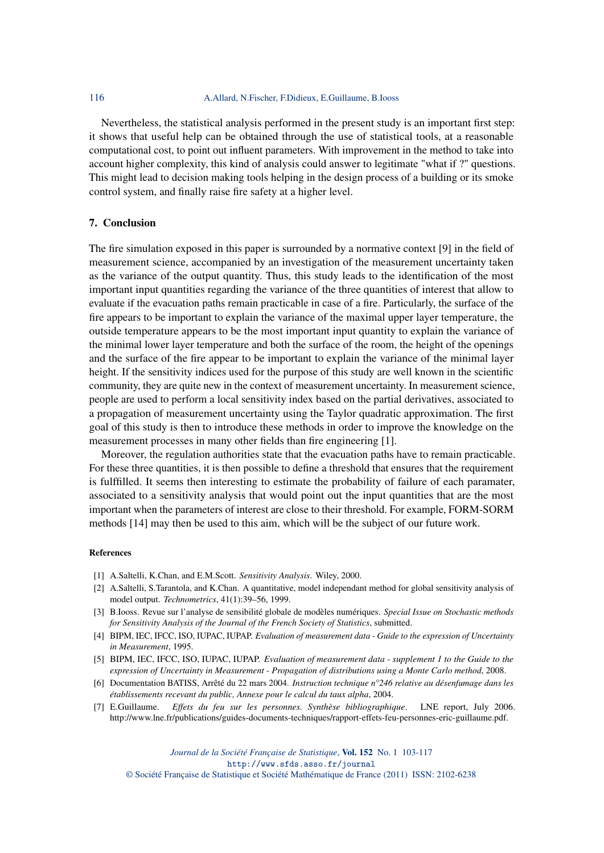## 116 A.Allard, N.Fischer, F.Didieux, E.Guillaume, B.Iooss

Nevertheless, the statistical analysis performed in the present study is an important first step: it shows that useful help can be obtained through the use of statistical tools, at a reasonable computational cost, to point out influent parameters. With improvement in the method to take into account higher complexity, this kind of analysis could answer to legitimate "what if ?" questions. This might lead to decision making tools helping in the design process of a building or its smoke control system, and finally raise fire safety at a higher level.

#### 7. Conclusion

The fire simulation exposed in this paper is surrounded by a normative context [9] in the field of measurement science, accompanied by an investigation of the measurement uncertainty taken as the variance of the output quantity. Thus, this study leads to the identification of the most important input quantities regarding the variance of the three quantities of interest that allow to evaluate if the evacuation paths remain practicable in case of a fire. Particularly, the surface of the fire appears to be important to explain the variance of the maximal upper layer temperature, the outside temperature appears to be the most important input quantity to explain the variance of the minimal lower layer temperature and both the surface of the room, the height of the openings and the surface of the fire appear to be important to explain the variance of the minimal layer height. If the sensitivity indices used for the purpose of this study are well known in the scientific community, they are quite new in the context of measurement uncertainty. In measurement science, people are used to perform a local sensitivity index based on the partial derivatives, associated to a propagation of measurement uncertainty using the Taylor quadratic approximation. The first goal of this study is then to introduce these methods in order to improve the knowledge on the measurement processes in many other fields than fire engineering [1].

Moreover, the regulation authorities state that the evacuation paths have to remain practicable. For these three quantities, it is then possible to define a threshold that ensures that the requirement is fulffilled. It seems then interesting to estimate the probability of failure of each paramater, associated to a sensitivity analysis that would point out the input quantities that are the most important when the parameters of interest are close to their threshold. For example, FORM-SORM methods [14] may then be used to this aim, which will be the subject of our future work.

#### References

- [1] A.Saltelli, K.Chan, and E.M.Scott. *Sensitivity Analysis*. Wiley, 2000.
- [2] A.Saltelli, S.Tarantola, and K.Chan. A quantitative, model independant method for global sensitivity analysis of model output. *Technometrics*, 41(1):39–56, 1999.
- [3] B.Iooss. Revue sur l'analyse de sensibilité globale de modèles numériques. *Special Issue on Stochastic methods for Sensitivity Analysis of the Journal of the French Society of Statistics*, submitted.
- [4] BIPM, IEC, IFCC, ISO, IUPAC, IUPAP. *Evaluation of measurement data Guide to the expression of Uncertainty in Measurement*, 1995.
- [5] BIPM, IEC, IFCC, ISO, IUPAC, IUPAP. *Evaluation of measurement data supplement 1 to the Guide to the expression of Uncertainty in Measurement - Propagation of distributions using a Monte Carlo method*, 2008.
- [6] Documentation BATISS, Arrêté du 22 mars 2004. *Instruction technique n°246 relative au désenfumage dans les établissements recevant du public, Annexe pour le calcul du taux alpha*, 2004.
- [7] E.Guillaume. *Effets du feu sur les personnes. Synthèse bibliographique*. LNE report, July 2006. http://www.lne.fr/publications/guides-documents-techniques/rapport-effets-feu-personnes-eric-guillaume.pdf.

*Journal de la Société Française de Statistique*, Vol. 152 No. 1 103-117 http://www.sfds.asso.fr/journal

© Société Française de Statistique et Société Mathématique de France (2011) ISSN: 2102-6238